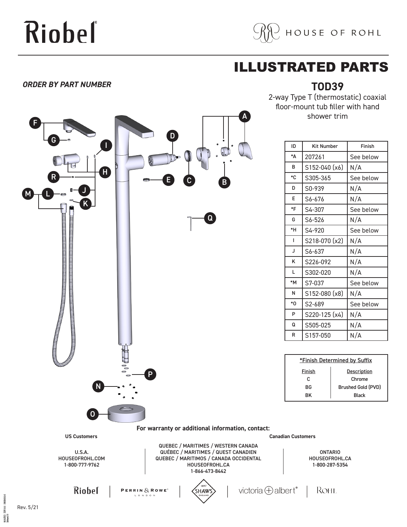# Riobeľ



## ILLUSTRATED PARTS

### *ORDER BY PART NUMBER*



2-way Type T (thermostatic) coaxial floor-mount tub filler with hand shower trim

**TOD39**

| ID | <b>Kit Number</b> | Finish    |
|----|-------------------|-----------|
| *Δ | 207261            | See below |
| B  | S152-040 (x6)     | N/A       |
| *C | S305-365          | See below |
| D  | S0-939            | N/A       |
| F  | S6-676            | N/A       |
| *F | S4-307            | See below |
| G  | S6-526            | N/A       |
| *H | S4-920            | See below |
| ı  | S218-070 (x2)     | N/A       |
| J  | S6-637            | N/A       |
| ĸ  | S226-092          | N/A       |
| L  | S302-020          | N/A       |
| *M | S7-037            | See below |
| N  | S152-080 (x8)     | N/A       |
| *Ο | S2-689            | See below |
| P  | S220-125 (x4)     | N/A       |
| Q  | S505-025          | N/A       |
| R  | S157-050          | N/A       |

| *Finish Determined by Suffix |  |  |
|------------------------------|--|--|
| Description                  |  |  |
| Chrome                       |  |  |
| <b>Brushed Gold (PVD)</b>    |  |  |
| <b>Black</b>                 |  |  |
|                              |  |  |

QUÉBEC / MARITIMES / QUEST CANADIEN 1-866-473-8442

ONTARIO HOUSEOFROHL.CA 1-800-287-5354

ROHL



PERRIN $\delta$ , ROWE<sup>®</sup>



victoria  $\bigoplus$  albert®

Rev. 5/21

EXPL4141 50000476543

06/06/2021 E<br>Released 00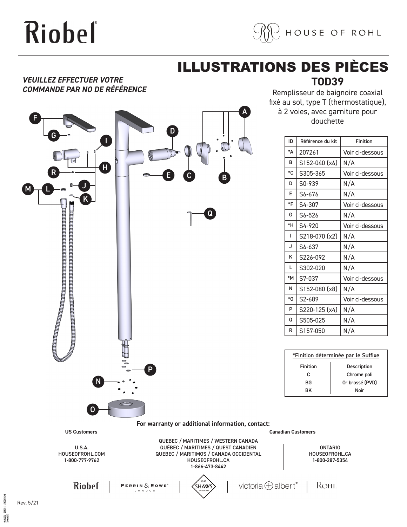# Riobel



## **TOD39** ILLUSTRATIONS DES PIÈCES

A

### *VEUILLEZ EFFECTUER VOTRE COMMANDE PAR NO DE RÉFÉRENCE*



Remplisseur de baignoire coaxial fixé au sol, type T (thermostatique), à 2 voies, avec garniture pour douchette

| ID          | Référence du kit | <b>Finition</b> |
|-------------|------------------|-----------------|
| *Δ          | 207261           | Voir ci-dessous |
| B           | S152-040 (x6)    | N/A             |
| $^{\ast}$ C | S305-365         | Voir ci-dessous |
| D           | S0-939           | N/A             |
| F           | S6-676           | N/A             |
| $*F$        | S4-307           | Voir ci-dessous |
| G           | S6-526           | N/A             |
| *H          | S4-920           | Voir ci-dessous |
| ı           | S218-070 (x2)    | N/A             |
| J           | S6-637           | N/A             |
| K           | S226-092         | N/A             |
| L           | S302-020         | N/A             |
| *M          | S7-037           | Voir ci-dessous |
| N           | S152-080 (x8)    | N/A             |
| *0          | S2-689           | Voir ci-dessous |
| P           | S220-125 (x4)    | N/A             |
| Q           | S505-025         | N/A             |
| R           | S157-050         | N/A             |

| *Finition déterminée par le Suffixe |                    |  |
|-------------------------------------|--------------------|--|
| <b>Finition</b>                     | <b>Description</b> |  |
| c                                   | Chrome poli        |  |
| ВG                                  | Or brossé (PVD)    |  |
| RK                                  | Noir               |  |

#### **For warranty or additional information, contact:**

**US Customers Canadian Customers**

U.S.A. HOUSEOFROHL.COM 1-800-777-9762

QUEBEC / MARITIMES / WESTERN CANADA QUÉBEC / MARITIMES / QUEST CANADIEN QUEBEC / MARITIMOS / CANADA OCCIDENTAL HOUSEOFROHL.CA 1-866-473-8442

ONTARIO HOUSEOFROHL.CA 1-800-287-5354

ROHL

**Riobel** 

**PERRIN**  $\&$  **ROWE**<sup>\*</sup>





Rev. 5/21

EXP1414 5000047634

 $0.060001$